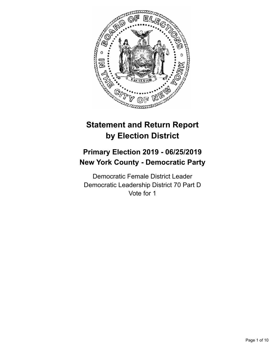

# **Statement and Return Report by Election District**

# **Primary Election 2019 - 06/25/2019 New York County - Democratic Party**

Democratic Female District Leader Democratic Leadership District 70 Part D Vote for 1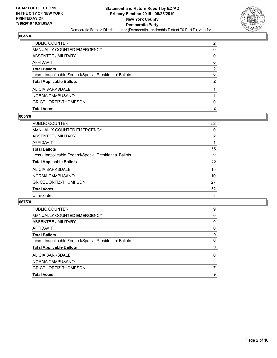

| PUBLIC COUNTER                                           | 2        |
|----------------------------------------------------------|----------|
| <b>MANUALLY COUNTED EMERGENCY</b>                        | 0        |
| ABSENTEE / MILITARY                                      | 0        |
| <b>AFFIDAVIT</b>                                         | $\Omega$ |
| <b>Total Ballots</b>                                     | 2        |
| Less - Inapplicable Federal/Special Presidential Ballots | 0        |
| <b>Total Applicable Ballots</b>                          | 2        |
| ALICIA BARKSDALE                                         |          |
| NORMA CAMPUSANO                                          |          |
| <b>GRICEL ORTIZ-THOMPSON</b>                             | 0        |
| <b>Total Votes</b>                                       | 2        |

## **065/70**

| PUBLIC COUNTER                                           | 52             |
|----------------------------------------------------------|----------------|
| <b>MANUALLY COUNTED EMERGENCY</b>                        | 0              |
| <b>ABSENTEE / MILITARY</b>                               | $\overline{2}$ |
| AFFIDAVIT                                                |                |
| <b>Total Ballots</b>                                     | 55             |
| Less - Inapplicable Federal/Special Presidential Ballots | $\Omega$       |
| <b>Total Applicable Ballots</b>                          | 55             |
| <b>ALICIA BARKSDALE</b>                                  | 15             |
| NORMA CAMPUSANO                                          | 10             |
| <b>GRICEL ORTIZ-THOMPSON</b>                             | 27             |
| <b>Total Votes</b>                                       | 52             |
| Unrecorded                                               | 3              |
|                                                          |                |

| PUBLIC COUNTER                                           | 9              |
|----------------------------------------------------------|----------------|
| <b>MANUALLY COUNTED EMERGENCY</b>                        | $\Omega$       |
| ABSENTEE / MILITARY                                      | 0              |
| AFFIDAVIT                                                | 0              |
| <b>Total Ballots</b>                                     | 9              |
| Less - Inapplicable Federal/Special Presidential Ballots | 0              |
| <b>Total Applicable Ballots</b>                          | 9              |
| ALICIA BARKSDALE                                         | $\Omega$       |
| NORMA CAMPUSANO                                          | $\overline{2}$ |
| <b>GRICEL ORTIZ-THOMPSON</b>                             | 7              |
| <b>Total Votes</b>                                       | 9              |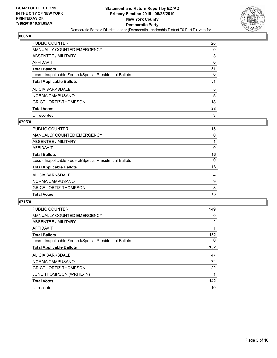

| <b>PUBLIC COUNTER</b>                                    | 28 |
|----------------------------------------------------------|----|
| <b>MANUALLY COUNTED EMERGENCY</b>                        | 0  |
| ABSENTEE / MILITARY                                      | 3  |
| AFFIDAVIT                                                | 0  |
| <b>Total Ballots</b>                                     | 31 |
| Less - Inapplicable Federal/Special Presidential Ballots | 0  |
|                                                          |    |
| <b>Total Applicable Ballots</b>                          | 31 |
| ALICIA BARKSDALE                                         | 5  |
| NORMA CAMPUSANO                                          | 5  |
| <b>GRICEL ORTIZ-THOMPSON</b>                             | 18 |
| <b>Total Votes</b>                                       | 28 |

#### **070/70**

| PUBLIC COUNTER                                           | 15       |
|----------------------------------------------------------|----------|
| <b>MANUALLY COUNTED EMERGENCY</b>                        | 0        |
| ABSENTEE / MILITARY                                      |          |
| AFFIDAVIT                                                | $\Omega$ |
| <b>Total Ballots</b>                                     | 16       |
| Less - Inapplicable Federal/Special Presidential Ballots | $\Omega$ |
| <b>Total Applicable Ballots</b>                          | 16       |
| ALICIA BARKSDALE                                         | 4        |
| NORMA CAMPUSANO                                          | 9        |
| <b>GRICEL ORTIZ-THOMPSON</b>                             | 3        |
| <b>Total Votes</b>                                       | 16       |

| <b>PUBLIC COUNTER</b>                                    | 149 |
|----------------------------------------------------------|-----|
| <b>MANUALLY COUNTED EMERGENCY</b>                        | 0   |
| ABSENTEE / MILITARY                                      | 2   |
| <b>AFFIDAVIT</b>                                         | 1   |
| <b>Total Ballots</b>                                     | 152 |
| Less - Inapplicable Federal/Special Presidential Ballots | 0   |
| <b>Total Applicable Ballots</b>                          | 152 |
| <b>ALICIA BARKSDALE</b>                                  | 47  |
| NORMA CAMPUSANO                                          | 72  |
| <b>GRICEL ORTIZ-THOMPSON</b>                             | 22  |
| JUNE THOMPSON (WRITE-IN)                                 | 1   |
| <b>Total Votes</b>                                       | 142 |
| Unrecorded                                               | 10  |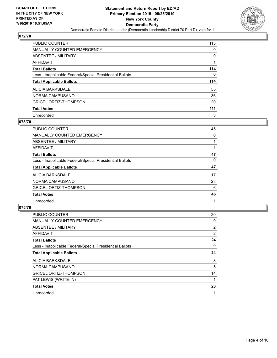

| <b>PUBLIC COUNTER</b>                                    | 113      |
|----------------------------------------------------------|----------|
| <b>MANUALLY COUNTED EMERGENCY</b>                        | $\Omega$ |
| ABSENTEE / MILITARY                                      | 0        |
| AFFIDAVIT                                                |          |
| <b>Total Ballots</b>                                     | 114      |
| Less - Inapplicable Federal/Special Presidential Ballots | 0        |
| <b>Total Applicable Ballots</b>                          | 114      |
| ALICIA BARKSDALE                                         | 55       |
| NORMA CAMPUSANO                                          | 36       |
| <b>GRICEL ORTIZ-THOMPSON</b>                             | 20       |
|                                                          |          |
| <b>Total Votes</b>                                       | 111      |

## **073/70**

| PUBLIC COUNTER                                           | 45 |
|----------------------------------------------------------|----|
| <b>MANUALLY COUNTED EMERGENCY</b>                        | 0  |
| ABSENTEE / MILITARY                                      |    |
| <b>AFFIDAVIT</b>                                         |    |
| <b>Total Ballots</b>                                     | 47 |
| Less - Inapplicable Federal/Special Presidential Ballots | 0  |
| <b>Total Applicable Ballots</b>                          | 47 |
| ALICIA BARKSDALE                                         | 17 |
| NORMA CAMPUSANO                                          | 23 |
| <b>GRICEL ORTIZ-THOMPSON</b>                             | 6  |
| <b>Total Votes</b>                                       | 46 |
| Unrecorded                                               |    |

| <b>PUBLIC COUNTER</b>                                    | 20             |
|----------------------------------------------------------|----------------|
| <b>MANUALLY COUNTED EMERGENCY</b>                        | 0              |
| ABSENTEE / MILITARY                                      | $\overline{2}$ |
| AFFIDAVIT                                                | $\overline{2}$ |
| <b>Total Ballots</b>                                     | 24             |
| Less - Inapplicable Federal/Special Presidential Ballots | 0              |
| <b>Total Applicable Ballots</b>                          | 24             |
| ALICIA BARKSDALE                                         | 3              |
| NORMA CAMPUSANO                                          | 5              |
| <b>GRICEL ORTIZ-THOMPSON</b>                             | 14             |
| PAT LEWIS (WRITE-IN)                                     |                |
| <b>Total Votes</b>                                       | 23             |
| Unrecorded                                               |                |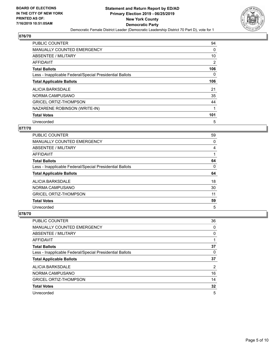

| <b>PUBLIC COUNTER</b>                                    | 94       |
|----------------------------------------------------------|----------|
| <b>MANUALLY COUNTED EMERGENCY</b>                        | 0        |
| ABSENTEE / MILITARY                                      | 10       |
| AFFIDAVIT                                                | 2        |
| <b>Total Ballots</b>                                     | 106      |
| Less - Inapplicable Federal/Special Presidential Ballots | $\Omega$ |
| <b>Total Applicable Ballots</b>                          | 106      |
| ALICIA BARKSDALE                                         | 21       |
| NORMA CAMPUSANO                                          | 35       |
| <b>GRICEL ORTIZ-THOMPSON</b>                             | 44       |
| NAZARENE ROBINSON (WRITE-IN)                             | 1        |
| <b>Total Votes</b>                                       | 101      |
| Unrecorded                                               | 5        |

# **077/70**

| <b>PUBLIC COUNTER</b>                                    | 59 |
|----------------------------------------------------------|----|
| <b>MANUALLY COUNTED EMERGENCY</b>                        | 0  |
| ABSENTEE / MILITARY                                      | 4  |
| AFFIDAVIT                                                |    |
| <b>Total Ballots</b>                                     | 64 |
| Less - Inapplicable Federal/Special Presidential Ballots | 0  |
|                                                          |    |
| <b>Total Applicable Ballots</b>                          | 64 |
| ALICIA BARKSDALE                                         | 18 |
| NORMA CAMPUSANO                                          | 30 |
| <b>GRICEL ORTIZ-THOMPSON</b>                             | 11 |
| <b>Total Votes</b>                                       | 59 |

| <b>PUBLIC COUNTER</b>                                    | 36 |
|----------------------------------------------------------|----|
| <b>MANUALLY COUNTED EMERGENCY</b>                        | 0  |
| ABSENTEE / MILITARY                                      | 0  |
| AFFIDAVIT                                                |    |
| <b>Total Ballots</b>                                     | 37 |
| Less - Inapplicable Federal/Special Presidential Ballots | 0  |
| <b>Total Applicable Ballots</b>                          | 37 |
| ALICIA BARKSDALE                                         | 2  |
| NORMA CAMPUSANO                                          | 16 |
| <b>GRICEL ORTIZ-THOMPSON</b>                             | 14 |
| <b>Total Votes</b>                                       | 32 |
| Unrecorded                                               | 5  |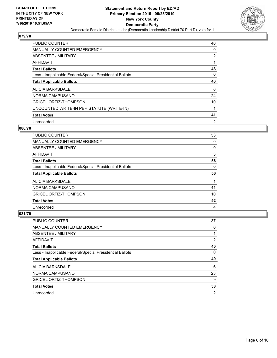

| <b>PUBLIC COUNTER</b>                                    | 40             |
|----------------------------------------------------------|----------------|
| MANUALLY COUNTED EMERGENCY                               | 0              |
| ABSENTEE / MILITARY                                      | 2              |
| AFFIDAVIT                                                | 1              |
| <b>Total Ballots</b>                                     | 43             |
| Less - Inapplicable Federal/Special Presidential Ballots | $\Omega$       |
| <b>Total Applicable Ballots</b>                          | 43             |
| ALICIA BARKSDALE                                         | 6              |
| NORMA CAMPUSANO                                          | 24             |
| <b>GRICEL ORTIZ-THOMPSON</b>                             | 10             |
| UNCOUNTED WRITE-IN PER STATUTE (WRITE-IN)                |                |
| <b>Total Votes</b>                                       | 41             |
| Unrecorded                                               | $\overline{2}$ |

## **080/70**

| PUBLIC COUNTER                                           | 53 |
|----------------------------------------------------------|----|
| <b>MANUALLY COUNTED EMERGENCY</b>                        | 0  |
| ABSENTEE / MILITARY                                      | 0  |
| AFFIDAVIT                                                | 3  |
| <b>Total Ballots</b>                                     | 56 |
| Less - Inapplicable Federal/Special Presidential Ballots | 0  |
|                                                          |    |
| <b>Total Applicable Ballots</b>                          | 56 |
| ALICIA BARKSDALE                                         |    |
| NORMA CAMPUSANO                                          | 41 |
| <b>GRICEL ORTIZ-THOMPSON</b>                             | 10 |
| <b>Total Votes</b>                                       | 52 |

| <b>PUBLIC COUNTER</b>                                    | 37       |
|----------------------------------------------------------|----------|
| <b>MANUALLY COUNTED EMERGENCY</b>                        | 0        |
| ABSENTEE / MILITARY                                      |          |
| AFFIDAVIT                                                | 2        |
| <b>Total Ballots</b>                                     | 40       |
| Less - Inapplicable Federal/Special Presidential Ballots | $\Omega$ |
|                                                          |          |
| <b>Total Applicable Ballots</b>                          | 40       |
| ALICIA BARKSDALE                                         | 6        |
| NORMA CAMPUSANO                                          | 23       |
| <b>GRICEL ORTIZ-THOMPSON</b>                             | 9        |
| <b>Total Votes</b>                                       | 38       |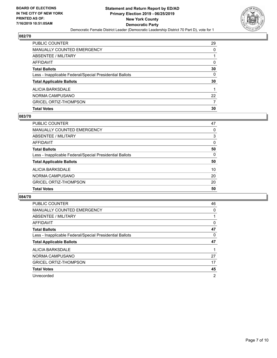

| PUBLIC COUNTER                                           | 29 |
|----------------------------------------------------------|----|
| <b>MANUALLY COUNTED EMERGENCY</b>                        | 0  |
| ABSENTEE / MILITARY                                      |    |
| AFFIDAVIT                                                | 0  |
| <b>Total Ballots</b>                                     | 30 |
| Less - Inapplicable Federal/Special Presidential Ballots | 0  |
| <b>Total Applicable Ballots</b>                          | 30 |
| ALICIA BARKSDALE                                         |    |
| NORMA CAMPUSANO                                          | 22 |
| <b>GRICEL ORTIZ-THOMPSON</b>                             |    |
| <b>Total Votes</b>                                       | 30 |

## **083/70**

| PUBLIC COUNTER                                           | 47       |
|----------------------------------------------------------|----------|
| MANUALLY COUNTED EMERGENCY                               | 0        |
| ABSENTEE / MILITARY                                      | 3        |
| AFFIDAVIT                                                | $\Omega$ |
| <b>Total Ballots</b>                                     | 50       |
| Less - Inapplicable Federal/Special Presidential Ballots | $\Omega$ |
| <b>Total Applicable Ballots</b>                          | 50       |
| ALICIA BARKSDALE                                         | 10       |
| NORMA CAMPUSANO                                          | 20       |
| <b>GRICEL ORTIZ-THOMPSON</b>                             | 20       |
| <b>Total Votes</b>                                       | 50       |
|                                                          |          |

| <b>PUBLIC COUNTER</b>                                    | 46             |
|----------------------------------------------------------|----------------|
| <b>MANUALLY COUNTED EMERGENCY</b>                        | 0              |
| ABSENTEE / MILITARY                                      |                |
| AFFIDAVIT                                                | 0              |
| <b>Total Ballots</b>                                     | 47             |
| Less - Inapplicable Federal/Special Presidential Ballots | 0              |
| <b>Total Applicable Ballots</b>                          | 47             |
| <b>ALICIA BARKSDALE</b>                                  |                |
| NORMA CAMPUSANO                                          | 27             |
| <b>GRICEL ORTIZ-THOMPSON</b>                             | 17             |
| <b>Total Votes</b>                                       | 45             |
| Unrecorded                                               | $\overline{2}$ |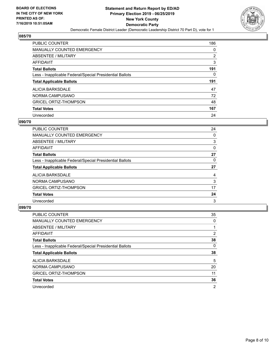

| <b>PUBLIC COUNTER</b>                                    | 186 |
|----------------------------------------------------------|-----|
| <b>MANUALLY COUNTED EMERGENCY</b>                        | 0   |
| ABSENTEE / MILITARY                                      | 2   |
| AFFIDAVIT                                                | 3   |
| <b>Total Ballots</b>                                     | 191 |
| Less - Inapplicable Federal/Special Presidential Ballots | 0   |
|                                                          |     |
| <b>Total Applicable Ballots</b>                          | 191 |
| ALICIA BARKSDALE                                         | 47  |
| NORMA CAMPUSANO                                          | 72  |
| <b>GRICEL ORTIZ-THOMPSON</b>                             | 48  |
| <b>Total Votes</b>                                       | 167 |

#### **090/70**

| <b>PUBLIC COUNTER</b>                                    | 24 |
|----------------------------------------------------------|----|
| <b>MANUALLY COUNTED EMERGENCY</b>                        | 0  |
| ABSENTEE / MILITARY                                      | 3  |
| <b>AFFIDAVIT</b>                                         | 0  |
| <b>Total Ballots</b>                                     | 27 |
| Less - Inapplicable Federal/Special Presidential Ballots | 0  |
| <b>Total Applicable Ballots</b>                          | 27 |
| ALICIA BARKSDALE                                         | 4  |
| NORMA CAMPUSANO                                          | 3  |
| <b>GRICEL ORTIZ-THOMPSON</b>                             | 17 |
| <b>Total Votes</b>                                       | 24 |
| Unrecorded                                               | 3  |

| <b>PUBLIC COUNTER</b>                                    | 35             |
|----------------------------------------------------------|----------------|
| <b>MANUALLY COUNTED EMERGENCY</b>                        | $\Omega$       |
| ABSENTEE / MILITARY                                      |                |
| AFFIDAVIT                                                | $\overline{2}$ |
| <b>Total Ballots</b>                                     | 38             |
| Less - Inapplicable Federal/Special Presidential Ballots | $\Omega$       |
| <b>Total Applicable Ballots</b>                          | 38             |
| ALICIA BARKSDALE                                         | 5              |
| NORMA CAMPUSANO                                          | 20             |
| <b>GRICEL ORTIZ-THOMPSON</b>                             | 11             |
| <b>Total Votes</b>                                       | 36             |
| Unrecorded                                               | 2              |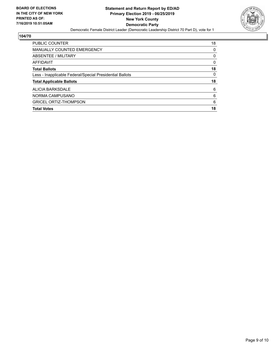

| PUBLIC COUNTER                                           | 18 |
|----------------------------------------------------------|----|
| <b>MANUALLY COUNTED EMERGENCY</b>                        | 0  |
| ABSENTEE / MILITARY                                      | 0  |
| AFFIDAVIT                                                | 0  |
| <b>Total Ballots</b>                                     | 18 |
| Less - Inapplicable Federal/Special Presidential Ballots | 0  |
| <b>Total Applicable Ballots</b>                          | 18 |
| ALICIA BARKSDALE                                         | 6  |
| NORMA CAMPUSANO                                          | 6  |
| <b>GRICEL ORTIZ-THOMPSON</b>                             | 6  |
| <b>Total Votes</b>                                       | 18 |